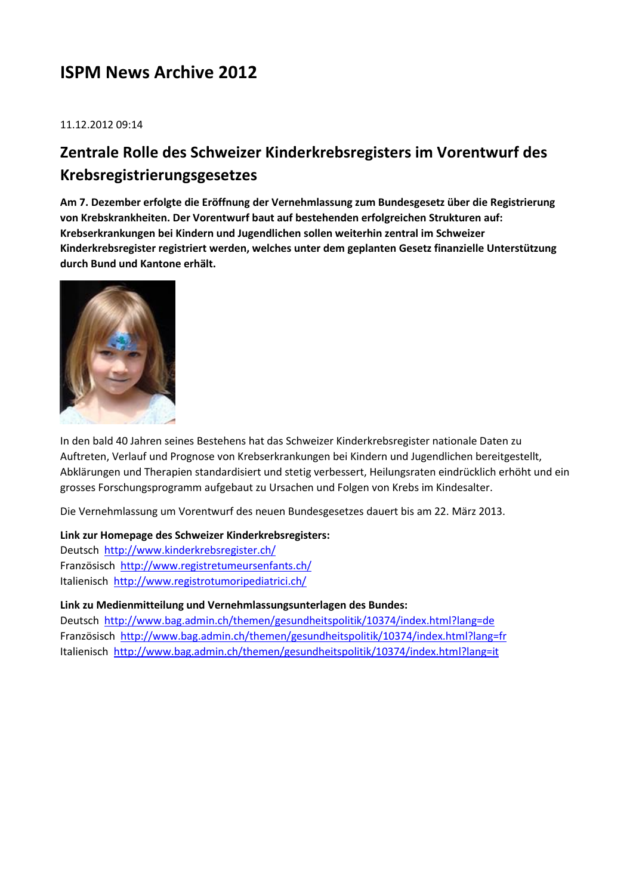# **ISPM News Archive 2012**

11.12.2012 09:14

# **Zentrale Rolle des Schweizer Kinderkrebsregisters im Vorentwurf des Krebsregistrierungsgesetzes**

**Am 7. Dezember erfolgte die Eröffnung der Vernehmlassung zum Bundesgesetz über die Registrierung von Krebskrankheiten. Der Vorentwurf baut auf bestehenden erfolgreichen Strukturen auf: Krebserkrankungen bei Kindern und Jugendlichen sollen weiterhin zentral im Schweizer Kinderkrebsregister registriert werden, welches unter dem geplanten Gesetz finanzielle Unterstützung durch Bund und Kantone erhält.**



In den bald 40 Jahren seines Bestehens hat das Schweizer Kinderkrebsregister nationale Daten zu Auftreten, Verlauf und Prognose von Krebserkrankungen bei Kindern und Jugendlichen bereitgestellt, Abklärungen und Therapien standardisiert und stetig verbessert, Heilungsraten eindrücklich erhöht und ein grosses Forschungsprogramm aufgebaut zu Ursachen und Folgen von Krebs im Kindesalter.

Die Vernehmlassung um Vorentwurf des neuen Bundesgesetzes dauert bis am 22. März 2013.

#### **Link zur Homepage des Schweizer Kinderkrebsregisters:**

Deutsch <http://www.kinderkrebsregister.ch/> Französisch <http://www.registretumeursenfants.ch/> Italienisch <http://www.registrotumoripediatrici.ch/>

### **Link zu Medienmitteilung und Vernehmlassungsunterlagen des Bundes:**

Deutsch <http://www.bag.admin.ch/themen/gesundheitspolitik/10374/index.html?lang=de> Französisch <http://www.bag.admin.ch/themen/gesundheitspolitik/10374/index.html?lang=fr> Italienisch <http://www.bag.admin.ch/themen/gesundheitspolitik/10374/index.html?lang=it>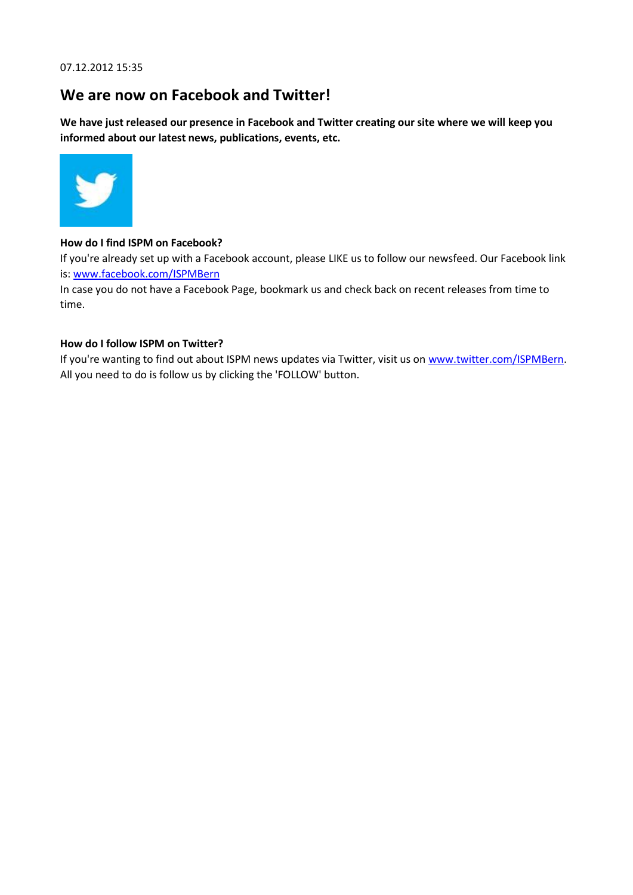07.12.2012 15:35

### **We are now on Facebook and Twitter!**

**We have just released our presence in Facebook and Twitter creating our site where we will keep you informed about our latest news, publications, events, etc.**



#### **How do I find ISPM on Facebook?**

If you're already set up with a Facebook account, please LIKE us to follow our newsfeed. Our Facebook link is: [www.facebook.com/ISPMBern](http://www.facebook.com/ISPMBern)

In case you do not have a Facebook Page, bookmark us and check back on recent releases from time to time.

#### **How do I follow ISPM on Twitter?**

If you're wanting to find out about ISPM news updates via Twitter, visit us on [www.twitter.com/ISPMBern.](http://www.twitter.com/ISPMBern) All you need to do is follow us by clicking the 'FOLLOW' button.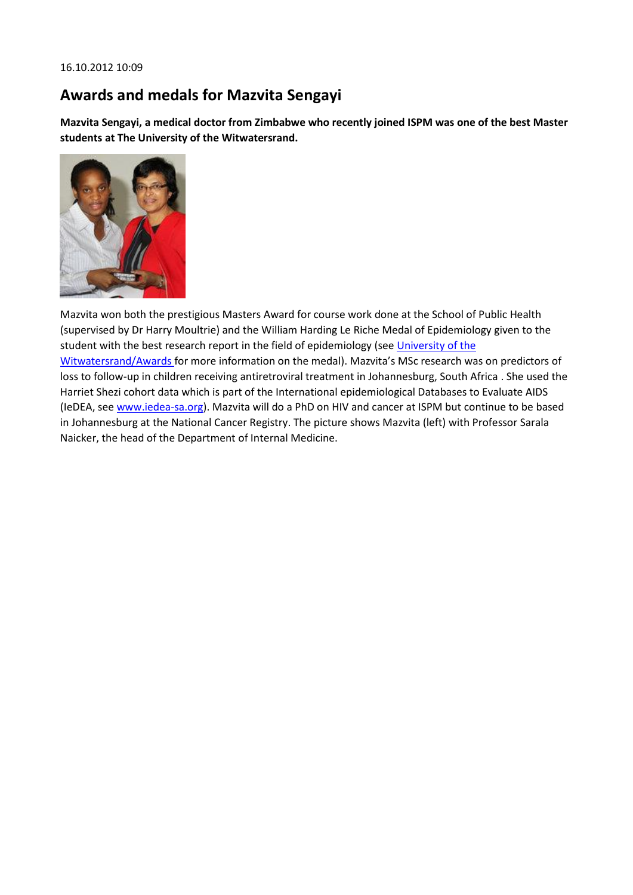# **Awards and medals for Mazvita Sengayi**

**Mazvita Sengayi, a medical doctor from Zimbabwe who recently joined ISPM was one of the best Master students at The University of the Witwatersrand.**



Mazvita won both the prestigious Masters Award for course work done at the School of Public Health (supervised by Dr Harry Moultrie) and the William Harding Le Riche Medal of Epidemiology given to the student with the best research report in the field of epidemiology (see [University of the](http://www.wits.ac.za/academic/health/publichealth/10370/awards.html)  [Witwatersrand/Awards](http://www.wits.ac.za/academic/health/publichealth/10370/awards.html) for more information on the medal). Mazvita's MSc research was on predictors of loss to follow-up in children receiving antiretroviral treatment in Johannesburg, South Africa . She used the Harriet Shezi cohort data which is part of the International epidemiological Databases to Evaluate AIDS (IeDEA, see [www.iedea-sa.org\)](http://www.iedea-sa.org/). Mazvita will do a PhD on HIV and cancer at ISPM but continue to be based in Johannesburg at the National Cancer Registry. The picture shows Mazvita (left) with Professor Sarala Naicker, the head of the Department of Internal Medicine.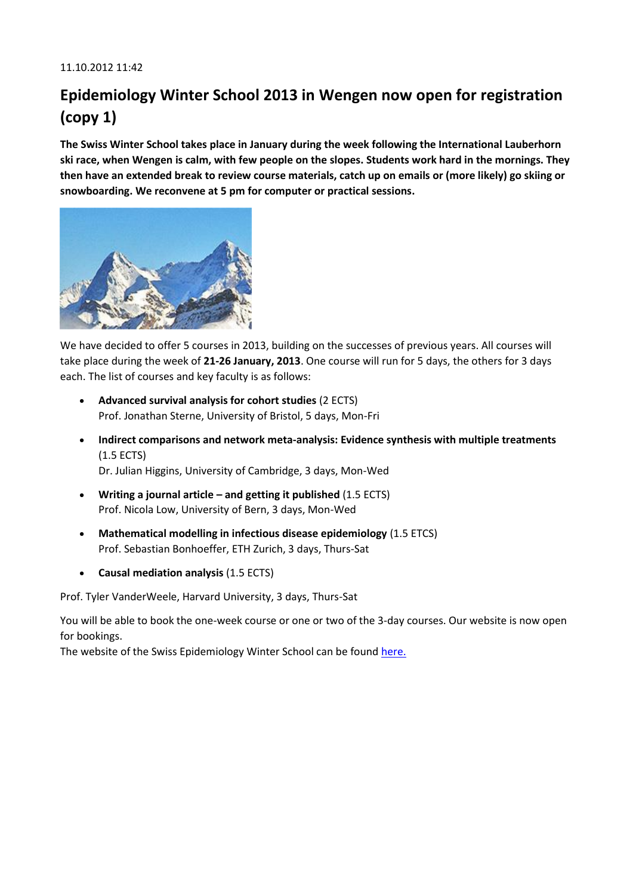# **Epidemiology Winter School 2013 in Wengen now open for registration (copy 1)**

**The Swiss Winter School takes place in January during the week following the International Lauberhorn ski race, when Wengen is calm, with few people on the slopes. Students work hard in the mornings. They then have an extended break to review course materials, catch up on emails or (more likely) go skiing or snowboarding. We reconvene at 5 pm for computer or practical sessions.**



We have decided to offer 5 courses in 2013, building on the successes of previous years. All courses will take place during the week of **21-26 January, 2013**. One course will run for 5 days, the others for 3 days each. The list of courses and key faculty is as follows:

- **Advanced survival analysis for cohort studies** (2 ECTS) Prof. Jonathan Sterne, University of Bristol, 5 days, Mon-Fri
- **Indirect comparisons and network meta-analysis: Evidence synthesis with multiple treatments**  (1.5 ECTS) Dr. Julian Higgins, University of Cambridge, 3 days, Mon-Wed
- **Writing a journal article – and getting it published** (1.5 ECTS) Prof. Nicola Low, University of Bern, 3 days, Mon-Wed
- **Mathematical modelling in infectious disease epidemiology** (1.5 ETCS) Prof. Sebastian Bonhoeffer, ETH Zurich, 3 days, Thurs-Sat
- **Causal mediation analysis** (1.5 ECTS)

Prof. Tyler VanderWeele, Harvard University, 3 days, Thurs-Sat

You will be able to book the one-week course or one or two of the 3-day courses. Our website is now open for bookings.

The website of the Swiss Epidemiology Winter School can be foun[d here.](http://www.epi-winterschool.org/)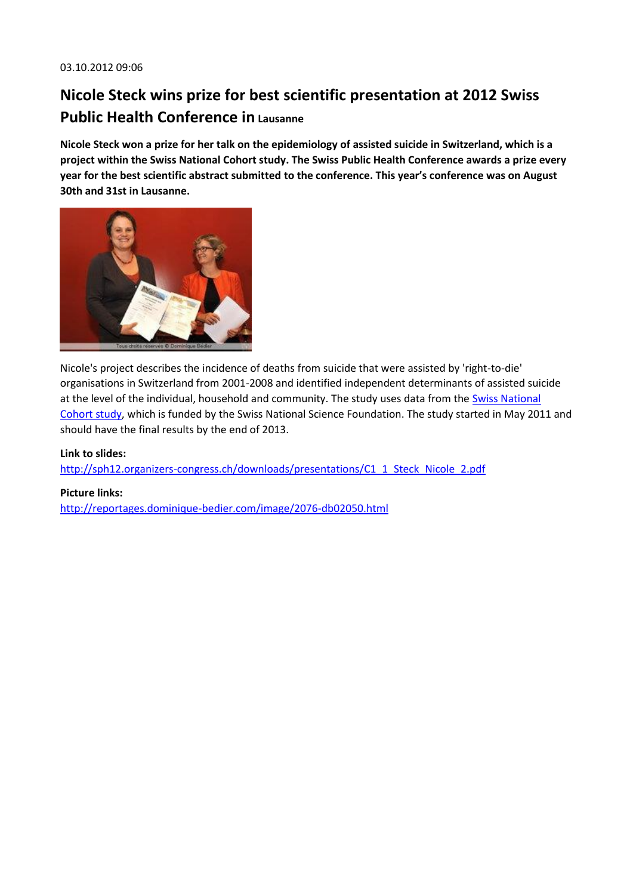# **Nicole Steck wins prize for best scientific presentation at 2012 Swiss Public Health Conference in Lausanne**

**Nicole Steck won a prize for her talk on the epidemiology of assisted suicide in Switzerland, which is a project within the Swiss National Cohort study. The Swiss Public Health Conference awards a prize every year for the best scientific abstract submitted to the conference. This year's conference was on August 30th and 31st in Lausanne.**



Nicole's project describes the incidence of deaths from suicide that were assisted by 'right-to-die' organisations in Switzerland from 2001-2008 and identified independent determinants of assisted suicide at the level of the individual, household and community. The study uses data from the [Swiss National](http://www.swissnationalcohort.ch/)  [Cohort study,](http://www.swissnationalcohort.ch/) which is funded by the Swiss National Science Foundation. The study started in May 2011 and should have the final results by the end of 2013.

### **Link to slides[:](http://sph12.organizers-congress.ch/downloads/presentations/C1_1_Steck_Nicole_2.pdf)**

[http://sph12.organizers-congress.ch/downloads/presentations/C1\\_1\\_Steck\\_Nicole\\_2.pdf](http://sph12.organizers-congress.ch/downloads/presentations/C1_1_Steck_Nicole_2.pdf)

#### **Picture links[:](http://reportages.dominique-bedier.com/image/2076-db02050.html)**

<http://reportages.dominique-bedier.com/image/2076-db02050.html>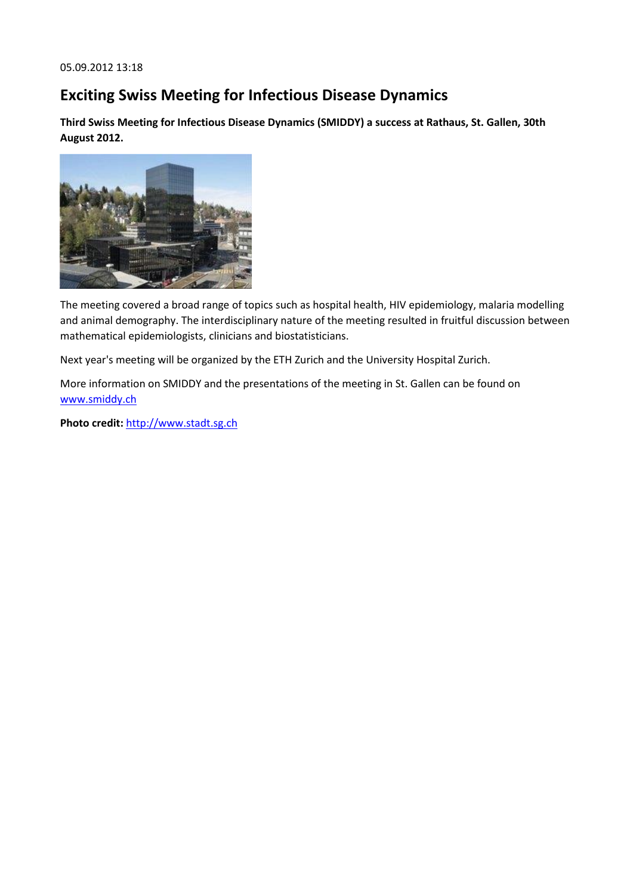## **Exciting Swiss Meeting for Infectious Disease Dynamics**

**Third Swiss Meeting for Infectious Disease Dynamics (SMIDDY) a success at Rathaus, St. Gallen, 30th August 2012.**



The meeting covered a broad range of topics such as hospital health, HIV epidemiology, malaria modelling and animal demography. The interdisciplinary nature of the meeting resulted in fruitful discussion between mathematical epidemiologists, clinicians and biostatisticians.

Next year's meeting will be organized by the ETH Zurich and the University Hospital Zurich.

More information on SMIDDY and the presentations of the meeting in St. Gallen can be found on [www.smiddy.ch](http://www.smiddy.ch/)

**Photo credit:** [http://www.stadt.sg.ch](http://www.stadt.sg.ch/)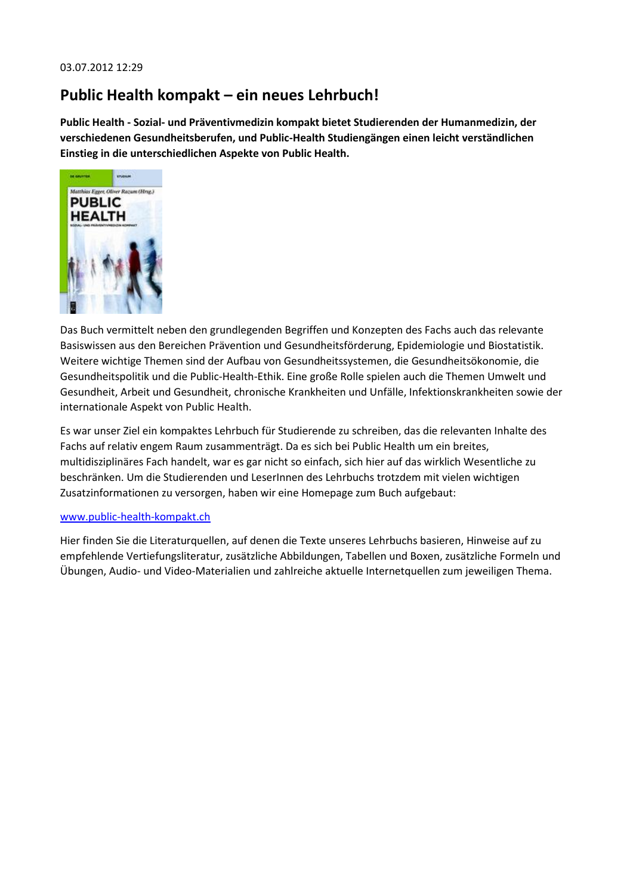### **Public Health kompakt – ein neues Lehrbuch!**

**Public Health - Sozial- und Präventivmedizin kompakt bietet Studierenden der Humanmedizin, der verschiedenen Gesundheitsberufen, und Public-Health Studiengängen einen leicht verständlichen Einstieg in die unterschiedlichen Aspekte von Public Health.**



Das Buch vermittelt neben den grundlegenden Begriffen und Konzepten des Fachs auch das relevante Basiswissen aus den Bereichen Prävention und Gesundheitsförderung, Epidemiologie und Biostatistik. Weitere wichtige Themen sind der Aufbau von Gesundheitssystemen, die Gesundheitsökonomie, die Gesundheitspolitik und die Public-Health-Ethik. Eine große Rolle spielen auch die Themen Umwelt und Gesundheit, Arbeit und Gesundheit, chronische Krankheiten und Unfälle, Infektionskrankheiten sowie der internationale Aspekt von Public Health.

Es war unser Ziel ein kompaktes Lehrbuch für Studierende zu schreiben, das die relevanten Inhalte des Fachs auf relativ engem Raum zusammenträgt. Da es sich bei Public Health um ein breites, multidisziplinäres Fach handelt, war es gar nicht so einfach, sich hier auf das wirklich Wesentliche zu beschränken. Um die Studierenden und LeserInnen des Lehrbuchs trotzdem mit vielen wichtigen Zusatzinformationen zu versorgen, haben wir eine Homepage zum Buch aufgebaut:

#### [www.public-health-kompakt.ch](http://www.public-health-kompakt.ch/)

Hier finden Sie die Literaturquellen, auf denen die Texte unseres Lehrbuchs basieren, Hinweise auf zu empfehlende Vertiefungsliteratur, zusätzliche Abbildungen, Tabellen und Boxen, zusätzliche Formeln und Übungen, Audio- und Video-Materialien und zahlreiche aktuelle Internetquellen zum jeweiligen Thema.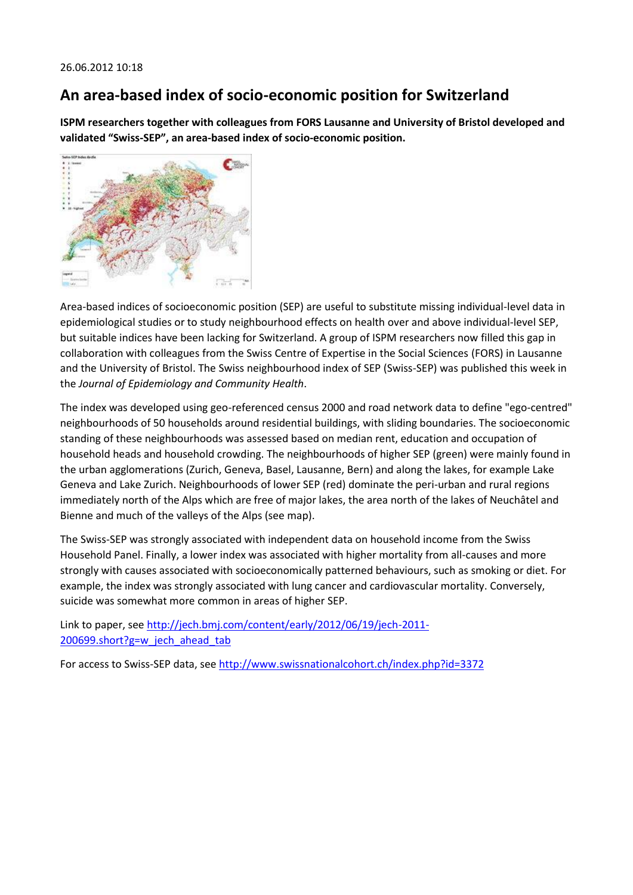### **An area-based index of socio-economic position for Switzerland**

**ISPM researchers together with colleagues from FORS Lausanne and University of Bristol developed and validated "Swiss-SEP", an area-based index of socio-economic position.**



Area-based indices of socioeconomic position (SEP) are useful to substitute missing individual-level data in epidemiological studies or to study neighbourhood effects on health over and above individual-level SEP, but suitable indices have been lacking for Switzerland. A group of ISPM researchers now filled this gap in collaboration with colleagues from the Swiss Centre of Expertise in the Social Sciences (FORS) in Lausanne and the University of Bristol. The Swiss neighbourhood index of SEP (Swiss-SEP) was published this week in the *Journal of Epidemiology and Community Health*.

The index was developed using geo-referenced census 2000 and road network data to define "ego-centred" neighbourhoods of 50 households around residential buildings, with sliding boundaries. The socioeconomic standing of these neighbourhoods was assessed based on median rent, education and occupation of household heads and household crowding. The neighbourhoods of higher SEP (green) were mainly found in the urban agglomerations (Zurich, Geneva, Basel, Lausanne, Bern) and along the lakes, for example Lake Geneva and Lake Zurich. Neighbourhoods of lower SEP (red) dominate the peri-urban and rural regions immediately north of the Alps which are free of major lakes, the area north of the lakes of Neuchâtel and Bienne and much of the valleys of the Alps (see map).

The Swiss-SEP was strongly associated with independent data on household income from the Swiss Household Panel. Finally, a lower index was associated with higher mortality from all-causes and more strongly with causes associated with socioeconomically patterned behaviours, such as smoking or diet. For example, the index was strongly associated with lung cancer and cardiovascular mortality. Conversely, suicide was somewhat more common in areas of higher SEP.

Link to paper, see [http://jech.bmj.com/content/early/2012/06/19/jech-2011-](http://jech.bmj.com/content/early/2012/06/19/jech-2011-200699.short?g=w_jech_ahead_tab) [200699.short?g=w\\_jech\\_ahead\\_tab](http://jech.bmj.com/content/early/2012/06/19/jech-2011-200699.short?g=w_jech_ahead_tab)

For access to Swiss-SEP data, see<http://www.swissnationalcohort.ch/index.php?id=3372>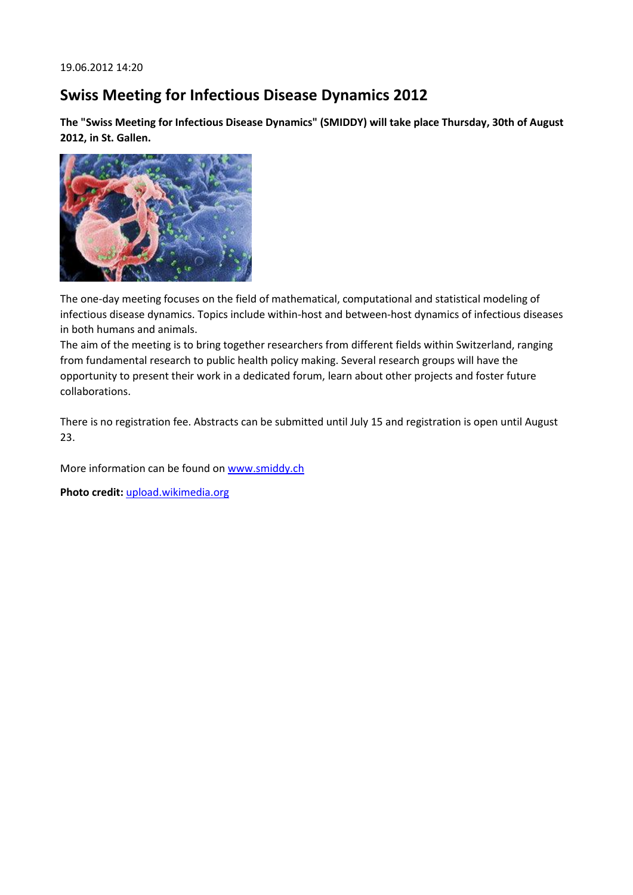### **Swiss Meeting for Infectious Disease Dynamics 2012**

**The "Swiss Meeting for Infectious Disease Dynamics" (SMIDDY) will take place Thursday, 30th of August 2012, in St. Gallen.**



The one-day meeting focuses on the field of mathematical, computational and statistical modeling of infectious disease dynamics. Topics include within-host and between-host dynamics of infectious diseases in both humans and animals.

The aim of the meeting is to bring together researchers from different fields within Switzerland, ranging from fundamental research to public health policy making. Several research groups will have the opportunity to present their work in a dedicated forum, learn about other projects and foster future collaborations.

There is no registration fee. Abstracts can be submitted until July 15 and registration is open until August 23.

More information can be found on [www.smiddy.ch](http://www.smiddy.ch/)

**Photo credit:** [upload.wikimedia.org](http://upload.wikimedia.org/wikipedia/commons/1/1a/HIV-budding-Color.jpg)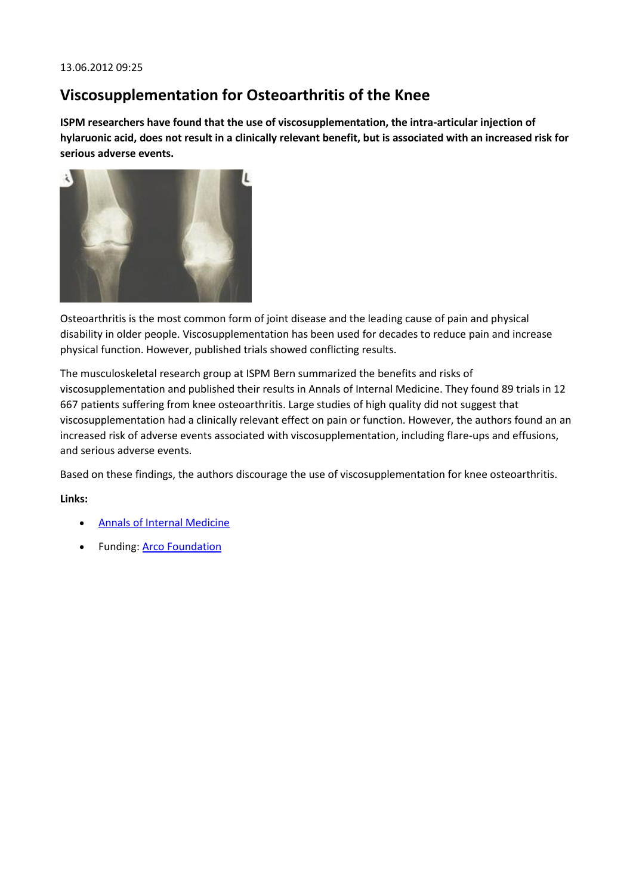### **Viscosupplementation for Osteoarthritis of the Knee**

**ISPM researchers have found that the use of viscosupplementation, the intra-articular injection of hylaruonic acid, does not result in a clinically relevant benefit, but is associated with an increased risk for serious adverse events.**



Osteoarthritis is the most common form of joint disease and the leading cause of pain and physical disability in older people. Viscosupplementation has been used for decades to reduce pain and increase physical function. However, published trials showed conflicting results.

The musculoskeletal research group at ISPM Bern summarized the benefits and risks of viscosupplementation and published their results in Annals of Internal Medicine. They found 89 trials in 12 667 patients suffering from knee osteoarthritis. Large studies of high quality did not suggest that viscosupplementation had a clinically relevant effect on pain or function. However, the authors found an an increased risk of adverse events associated with viscosupplementation, including flare-ups and effusions, and serious adverse events.

Based on these findings, the authors discourage the use of viscosupplementation for knee osteoarthritis.

### **Links:**

- [Annals of Internal Medicine](http://www.annals.org/content/early/2012/06/05/0003-4819-157-3-201208070-00473?aimhp)
- Funding: [Arco Foundation](http://www.arco-foundation.ch/)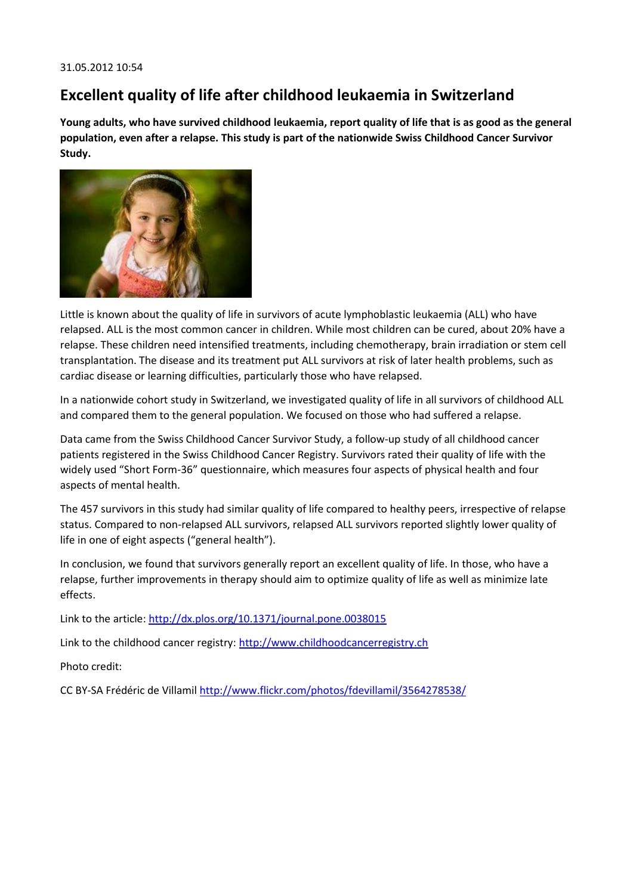### **Excellent quality of life after childhood leukaemia in Switzerland**

**Young adults, who have survived childhood leukaemia, report quality of life that is as good as the general population, even after a relapse. This study is part of the nationwide Swiss Childhood Cancer Survivor Study.**



Little is known about the quality of life in survivors of acute lymphoblastic leukaemia (ALL) who have relapsed. ALL is the most common cancer in children. While most children can be cured, about 20% have a relapse. These children need intensified treatments, including chemotherapy, brain irradiation or stem cell transplantation. The disease and its treatment put ALL survivors at risk of later health problems, such as cardiac disease or learning difficulties, particularly those who have relapsed.

In a nationwide cohort study in Switzerland, we investigated quality of life in all survivors of childhood ALL and compared them to the general population. We focused on those who had suffered a relapse.

Data came from the Swiss Childhood Cancer Survivor Study, a follow-up study of all childhood cancer patients registered in the Swiss Childhood Cancer Registry. Survivors rated their quality of life with the widely used "Short Form-36" questionnaire, which measures four aspects of physical health and four aspects of mental health.

The 457 survivors in this study had similar quality of life compared to healthy peers, irrespective of relapse status. Compared to non-relapsed ALL survivors, relapsed ALL survivors reported slightly lower quality of life in one of eight aspects ("general health").

In conclusion, we found that survivors generally report an excellent quality of life. In those, who have a relapse, further improvements in therapy should aim to optimize quality of life as well as minimize late effects.

Link to the article:<http://dx.plos.org/10.1371/journal.pone.0038015>

Link to the childhood cancer registry: [http://www.childhoodcancerregistry.ch](http://www.childhoodcancerregistry.ch/)

Photo credit:

CC BY-SA Frédéric de Villamil<http://www.flickr.com/photos/fdevillamil/3564278538/>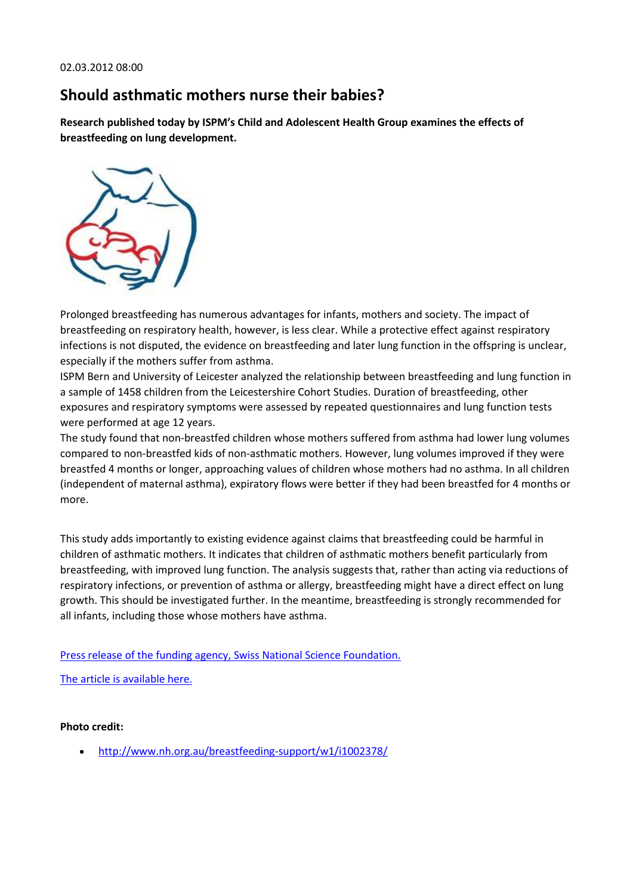# **Should asthmatic mothers nurse their babies?**

**Research published today by ISPM's Child and Adolescent Health Group examines the effects of breastfeeding on lung development.**



Prolonged breastfeeding has numerous advantages for infants, mothers and society. The impact of breastfeeding on respiratory health, however, is less clear. While a protective effect against respiratory infections is not disputed, the evidence on breastfeeding and later lung function in the offspring is unclear, especially if the mothers suffer from asthma.

ISPM Bern and University of Leicester analyzed the relationship between breastfeeding and lung function in a sample of 1458 children from the Leicestershire Cohort Studies. Duration of breastfeeding, other exposures and respiratory symptoms were assessed by repeated questionnaires and lung function tests were performed at age 12 years.

The study found that non-breastfed children whose mothers suffered from asthma had lower lung volumes compared to non-breastfed kids of non-asthmatic mothers. However, lung volumes improved if they were breastfed 4 months or longer, approaching values of children whose mothers had no asthma. In all children (independent of maternal asthma), expiratory flows were better if they had been breastfed for 4 months or more.

This study adds importantly to existing evidence against claims that breastfeeding could be harmful in children of asthmatic mothers. It indicates that children of asthmatic mothers benefit particularly from breastfeeding, with improved lung function. The analysis suggests that, rather than acting via reductions of respiratory infections, or prevention of asthma or allergy, breastfeeding might have a direct effect on lung growth. This should be investigated further. In the meantime, breastfeeding is strongly recommended for all infants, including those whose mothers have asthma.

[Press release of the funding agency, Swiss National Science Foundation.](http://www.snf.ch/D/Medien/Medienmitteilungen/Seiten/2012.aspx)

[The article is available here.](http://ajrccm.atsjournals.org/content/early/recent)

**Photo credit:**

<http://www.nh.org.au/breastfeeding-support/w1/i1002378/>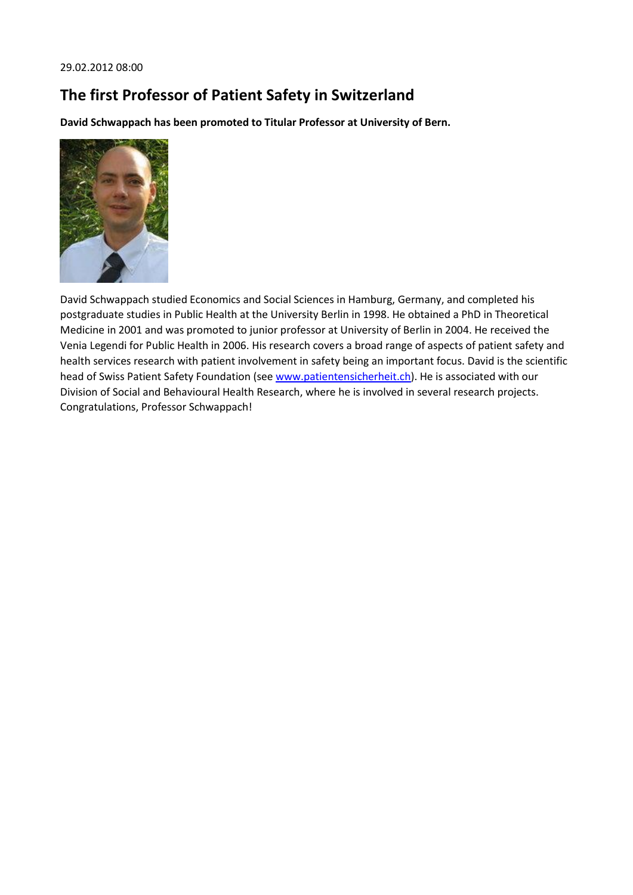### **The first Professor of Patient Safety in Switzerland**

**David Schwappach has been promoted to Titular Professor at University of Bern.**



David Schwappach studied Economics and Social Sciences in Hamburg, Germany, and completed his postgraduate studies in Public Health at the University Berlin in 1998. He obtained a PhD in Theoretical Medicine in 2001 and was promoted to junior professor at University of Berlin in 2004. He received the Venia Legendi for Public Health in 2006. His research covers a broad range of aspects of patient safety and health services research with patient involvement in safety being an important focus. David is the scientific head of Swiss Patient Safety Foundation (see [www.patientensicherheit.ch\)](http://www.patientensicherheit.ch/). He is associated with our Division of Social and Behavioural Health Research, where he is involved in several research projects. Congratulations, Professor Schwappach!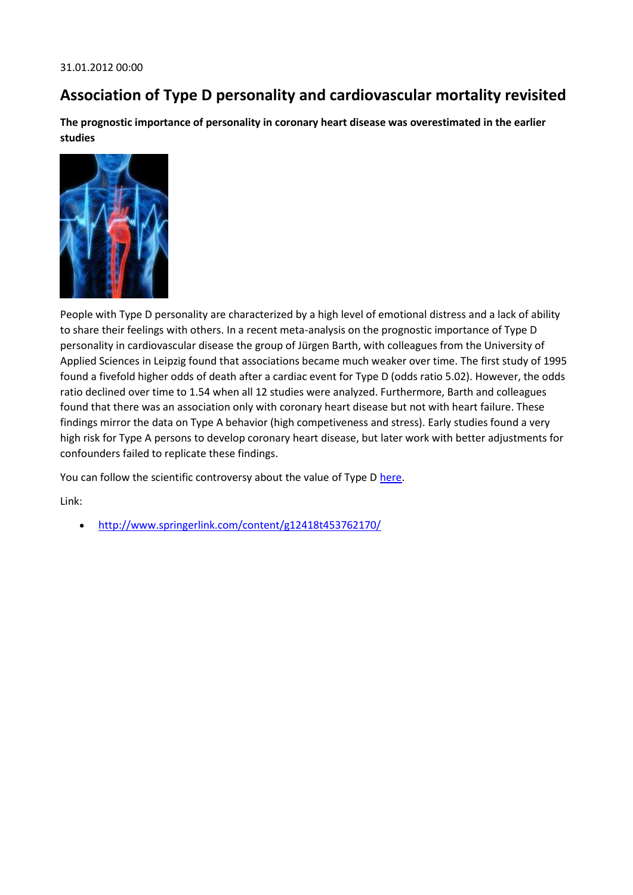### **Association of Type D personality and cardiovascular mortality revisited**

**The prognostic importance of personality in coronary heart disease was overestimated in the earlier studies**



People with Type D personality are characterized by a high level of emotional distress and a lack of ability to share their feelings with others. In a recent meta-analysis on the prognostic importance of Type D personality in cardiovascular disease the group of Jürgen Barth, with colleagues from the University of Applied Sciences in Leipzig found that associations became much weaker over time. The first study of 1995 found a fivefold higher odds of death after a cardiac event for Type D (odds ratio 5.02). However, the odds ratio declined over time to 1.54 when all 12 studies were analyzed. Furthermore, Barth and colleagues found that there was an association only with coronary heart disease but not with heart failure. These findings mirror the data on Type A behavior (high competiveness and stress). Early studies found a very high risk for Type A persons to develop coronary heart disease, but later work with better adjustments for confounders failed to replicate these findings.

You can follow the scientific controversy about the value of Type D [here.](http://scholar.google.de/scholar?oi=bibs&hl=de&cites=9800201018946889426)

Link:

<http://www.springerlink.com/content/g12418t453762170/>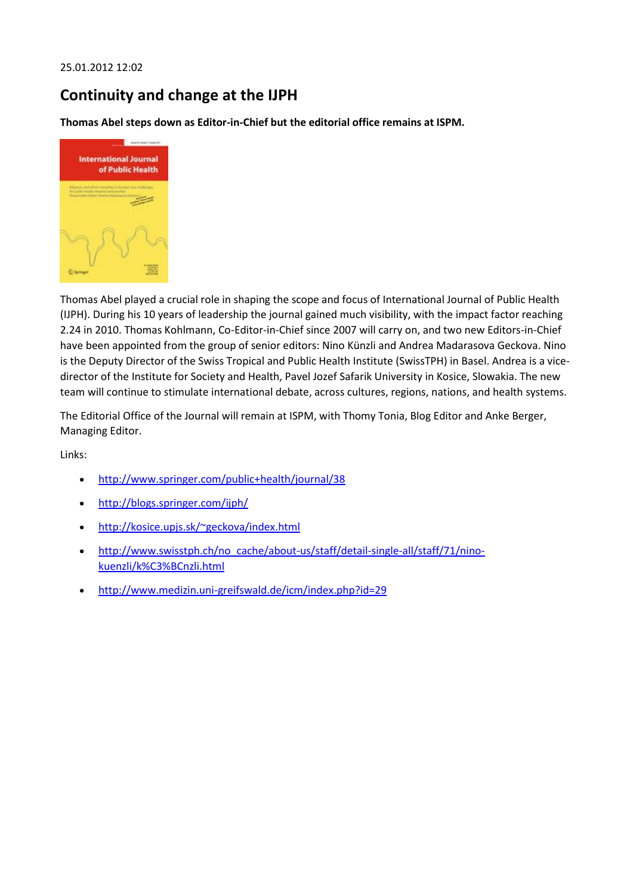#### 25.01.2012 12:02

### **Continuity and change at the IJPH**

**Thomas Abel steps down as Editor-in-Chief but the editorial office remains at ISPM.**



Thomas Abel played a crucial role in shaping the scope and focus of International Journal of Public Health (IJPH). During his 10 years of leadership the journal gained much visibility, with the impact factor reaching 2.24 in 2010. Thomas Kohlmann, Co-Editor-in-Chief since 2007 will carry on, and two new Editors-in-Chief have been appointed from the group of senior editors: Nino Künzli and Andrea Madarasova Geckova. Nino is the Deputy Director of the Swiss Tropical and Public Health Institute (SwissTPH) in Basel. Andrea is a vicedirector of the Institute for Society and Health, Pavel Jozef Safarik University in Kosice, Slowakia. The new team will continue to stimulate international debate, across cultures, regions, nations, and health systems.

The Editorial Office of the Journal will remain at ISPM, with Thomy Tonia, Blog Editor and Anke Berger, Managing Editor.

Links:

- <http://www.springer.com/public+health/journal/38>
- <http://blogs.springer.com/ijph/>
- <http://kosice.upjs.sk/~geckova/index.html>
- [http://www.swisstph.ch/no\\_cache/about-us/staff/detail-single-all/staff/71/nino](http://www.swisstph.ch/no_cache/about-us/staff/detail-single-all/staff/71/nino-kuenzli/k%C3%BCnzli.html)[kuenzli/k%C3%BCnzli.html](http://www.swisstph.ch/no_cache/about-us/staff/detail-single-all/staff/71/nino-kuenzli/k%C3%BCnzli.html)
- <http://www.medizin.uni-greifswald.de/icm/index.php?id=29>